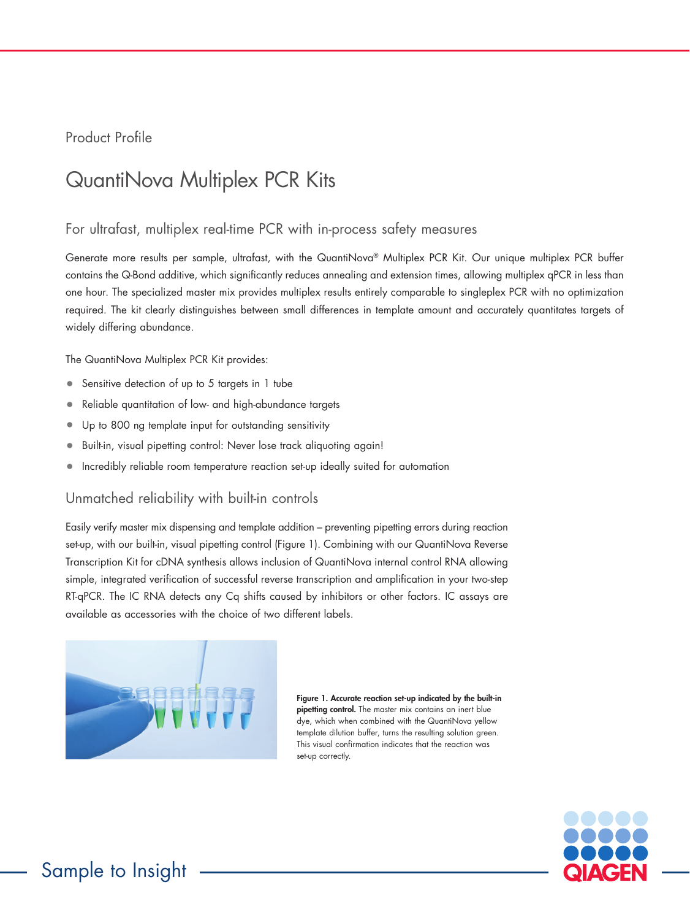Product Profile

# QuantiNova Multiplex PCR Kits

## For ultrafast, multiplex real-time PCR with in-process safety measures

Generate more results per sample, ultrafast, with the QuantiNova® Multiplex PCR Kit. Our unique multiplex PCR buffer contains the Q-Bond additive, which significantly reduces annealing and extension times, allowing multiplex qPCR in less than one hour. The specialized master mix provides multiplex results entirely comparable to singleplex PCR with no optimization required. The kit clearly distinguishes between small differences in template amount and accurately quantitates targets of widely differing abundance.

The QuantiNova Multiplex PCR Kit provides:

- Sensitive detection of up to 5 targets in 1 tube
- Reliable quantitation of low- and high-abundance targets
- Up to 800 ng template input for outstanding sensitivity
- Built-in, visual pipetting control: Never lose track aliquoting again!
- Incredibly reliable room temperature reaction set-up ideally suited for automation

## Unmatched reliability with built-in controls

Easily verify master mix dispensing and template addition – preventing pipetting errors during reaction set-up, with our built-in, visual pipetting control (Figure 1). Combining with our QuantiNova Reverse Transcription Kit for cDNA synthesis allows inclusion of QuantiNova internal control RNA allowing simple, integrated verification of successful reverse transcription and amplification in your two-step RT-qPCR. The IC RNA detects any Cq shifts caused by inhibitors or other factors. IC assays are available as accessories with the choice of two different labels.



Figure 1. Accurate reaction set-up indicated by the built-in pipetting control. The master mix contains an inert blue dye, which when combined with the QuantiNova yellow template dilution buffer, turns the resulting solution green. This visual confirmation indicates that the reaction was set-up correctly.

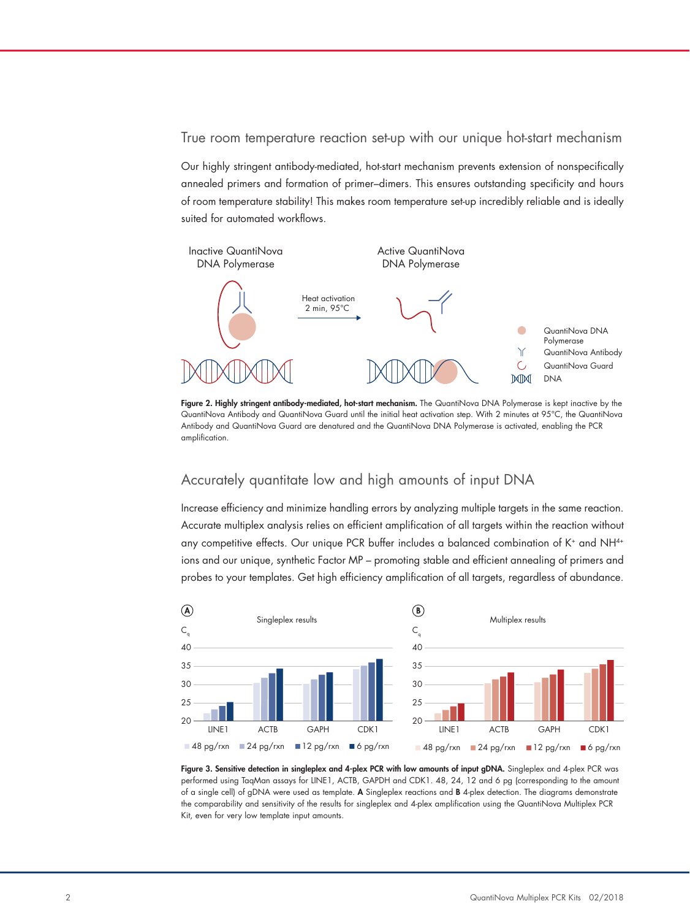#### True room temperature reaction set-up with our unique hot-start mechanism

Our highly stringent antibody-mediated, hot-start mechanism prevents extension of nonspecifically annealed primers and formation of primer–dimers. This ensures outstanding specificity and hours of room temperature stability! This makes room temperature set-up incredibly reliable and is ideally suited for automated workflows.



Figure 2. Highly stringent antibody-mediated, hot-start mechanism. The QuantiNova DNA Polymerase is kept inactive by the QuantiNova Antibody and QuantiNova Guard until the initial heat activation step. With 2 minutes at 95°C, the QuantiNova Antibody and QuantiNova Guard are denatured and the QuantiNova DNA Polymerase is activated, enabling the PCR amplification.

# Accurately quantitate low and high amounts of input DNA

Increase efficiency and minimize handling errors by analyzing multiple targets in the same reaction. 35 Accurate multiplex analysis relies on efficient amplification of all targets within the reaction without 30 any competitive effects. Our unique PCR buffer includes a balanced combination of K+ and NH<sup>4+</sup> ions and our unique, synthetic Factor MP – promoting stable and efficient annealing of primers and 20 probes to your templates. Get high efficiency amplification of all targets, regardless of abundance.



Figure 3. Sensitive detection in singleplex and 4-plex PCR with low amounts of input gDNA. Singleplex and 4-plex PCR was performed using TaqMan assays for LINE1, ACTB, GAPDH and CDK1. 48, 24, 12 and 6 pg (corresponding to the amount of a single cell) of gDNA were used as template. A Singleplex reactions and B 4-plex detection. The diagrams demonstrate Cq the comparability and sensitivity of the results for singleplex and 4-plex amplification using the QuantiNova Multiplex PCR 40 Kit, even for very low template input amounts. 35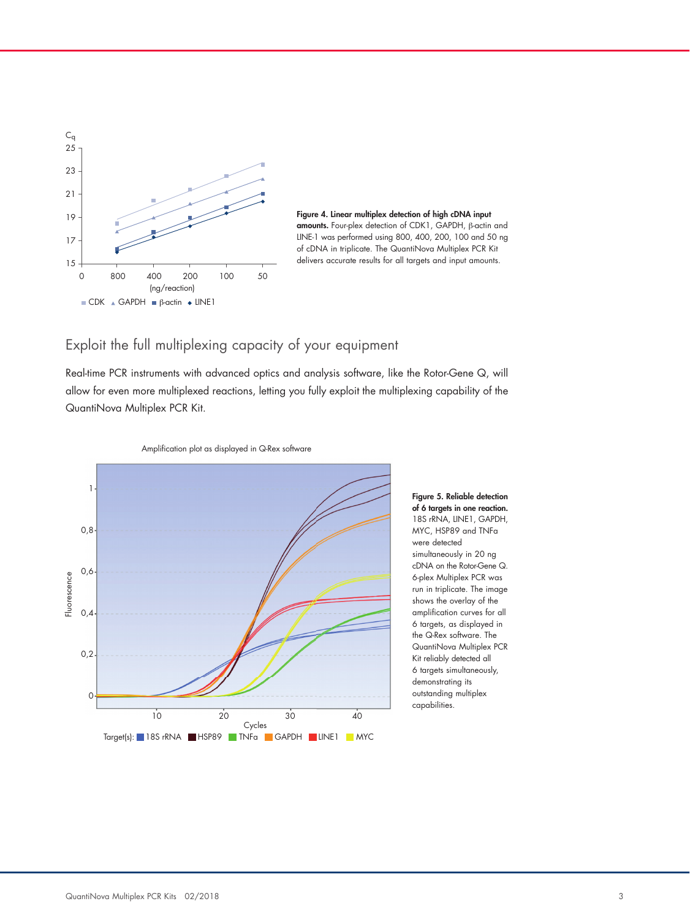



# Exploit the full multiplexing capacity of your equipment

Real-time PCR instruments with advanced optics and analysis software, like the Rotor-Gene Q, will allow for even more multiplexed reactions, letting you fully exploit the multiplexing capability of the QuantiNova Multiplex PCR Kit.





Amplication plot as displayed in Q-Rex software